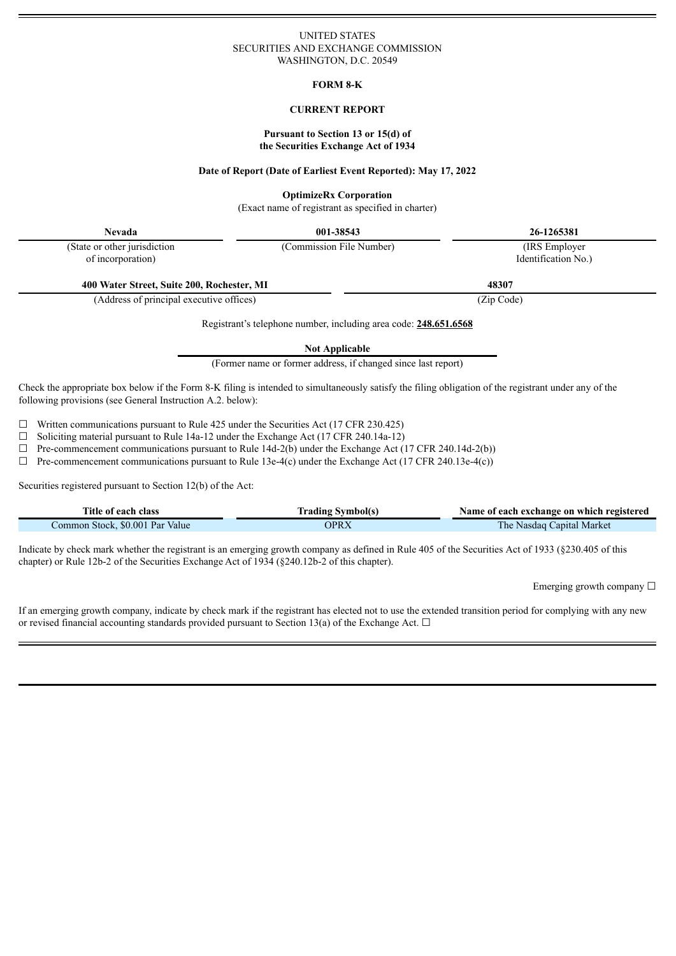## UNITED STATES SECURITIES AND EXCHANGE COMMISSION WASHINGTON, D.C. 20549

## **FORM 8-K**

# **CURRENT REPORT**

## **Pursuant to Section 13 or 15(d) of the Securities Exchange Act of 1934**

#### **Date of Report (Date of Earliest Event Reported): May 17, 2022**

## **OptimizeRx Corporation**

(Exact name of registrant as specified in charter)

**Nevada 001-38543 26-1265381**

(State or other jurisdiction of incorporation)

(Commission File Number) (IRS Employer Identification No.)

**400 Water Street, Suite 200, Rochester, MI 48307**

(Address of principal executive offices) (Zip Code)

Registrant's telephone number, including area code: **248.651.6568**

**Not Applicable**

(Former name or former address, if changed since last report)

Check the appropriate box below if the Form 8-K filing is intended to simultaneously satisfy the filing obligation of the registrant under any of the following provisions (see General Instruction A.2. below):

 $\Box$  Written communications pursuant to Rule 425 under the Securities Act (17 CFR 230.425)

 $\Box$  Soliciting material pursuant to Rule 14a-12 under the Exchange Act (17 CFR 240.14a-12)

 $\Box$  Pre-commencement communications pursuant to Rule 14d-2(b) under the Exchange Act (17 CFR 240.14d-2(b))

 $\Box$  Pre-commencement communications pursuant to Rule 13e-4(c) under the Exchange Act (17 CFR 240.13e-4(c))

Securities registered pursuant to Section 12(b) of the Act:

Ξ

| Title of each class             | <b>Trading Symbol(s)</b> | Name of each exchange on which registered |
|---------------------------------|--------------------------|-------------------------------------------|
| Common Stock, \$0.001 Par Value | <b>OPRX</b>              | The Nasdaq Capital Market                 |

Indicate by check mark whether the registrant is an emerging growth company as defined in Rule 405 of the Securities Act of 1933 (§230.405 of this chapter) or Rule 12b-2 of the Securities Exchange Act of 1934 (§240.12b-2 of this chapter).

Emerging growth company  $\Box$ 

If an emerging growth company, indicate by check mark if the registrant has elected not to use the extended transition period for complying with any new or revised financial accounting standards provided pursuant to Section 13(a) of the Exchange Act.  $\Box$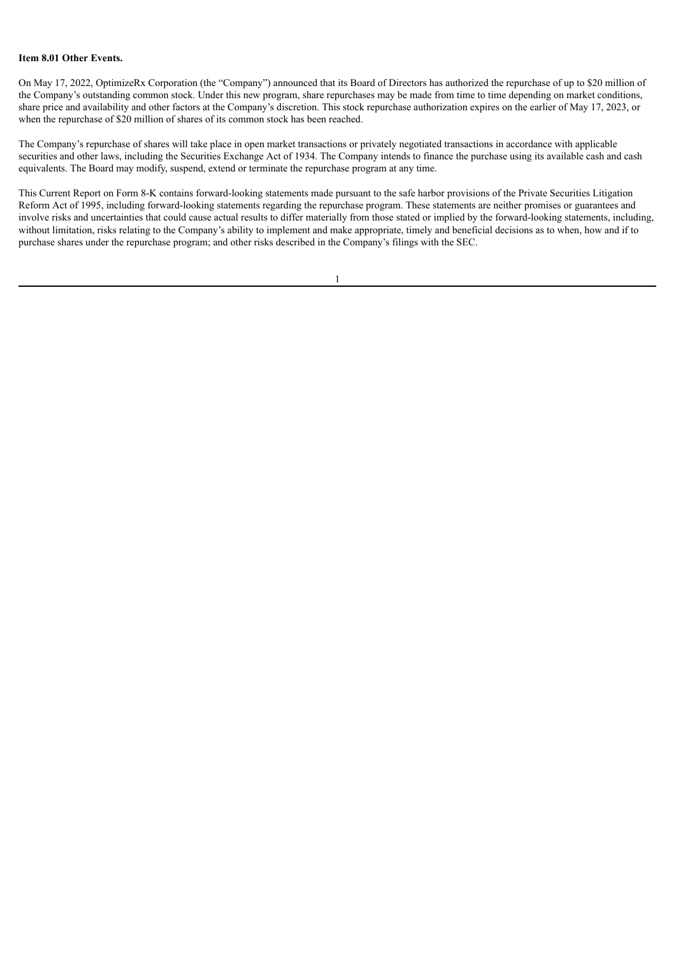# **Item 8.01 Other Events.**

On May 17, 2022, OptimizeRx Corporation (the "Company") announced that its Board of Directors has authorized the repurchase of up to \$20 million of the Company's outstanding common stock. Under this new program, share repurchases may be made from time to time depending on market conditions, share price and availability and other factors at the Company's discretion. This stock repurchase authorization expires on the earlier of May 17, 2023, or when the repurchase of \$20 million of shares of its common stock has been reached.

The Company's repurchase of shares will take place in open market transactions or privately negotiated transactions in accordance with applicable securities and other laws, including the Securities Exchange Act of 1934. The Company intends to finance the purchase using its available cash and cash equivalents. The Board may modify, suspend, extend or terminate the repurchase program at any time.

This Current Report on Form 8-K contains forward-looking statements made pursuant to the safe harbor provisions of the Private Securities Litigation Reform Act of 1995, including forward-looking statements regarding the repurchase program. These statements are neither promises or guarantees and involve risks and uncertainties that could cause actual results to differ materially from those stated or implied by the forward-looking statements, including, without limitation, risks relating to the Company's ability to implement and make appropriate, timely and beneficial decisions as to when, how and if to purchase shares under the repurchase program; and other risks described in the Company's filings with the SEC.

1